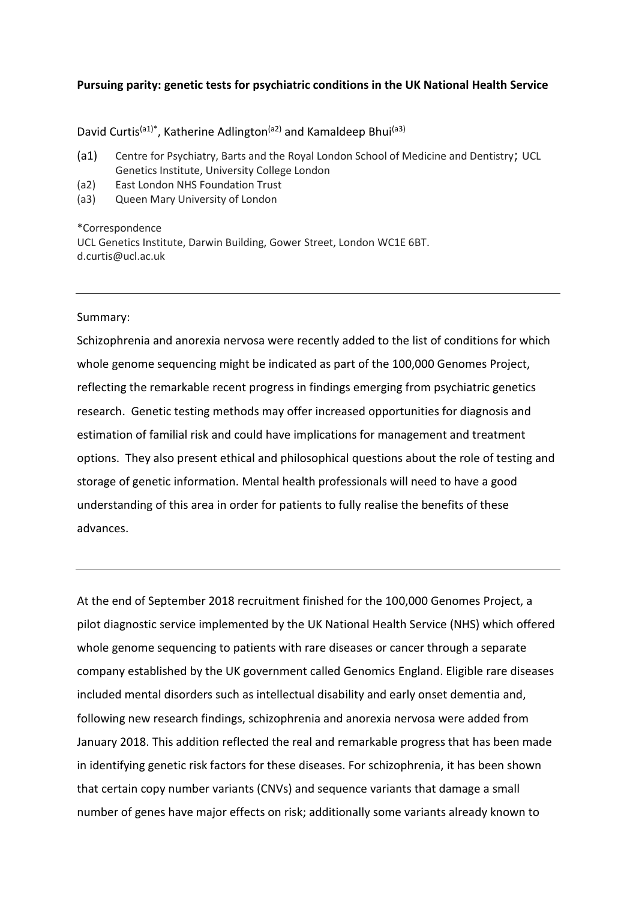## **Pursuing parity: genetic tests for psychiatric conditions in the UK National Health Service**

David Curtis<sup>(a1)\*</sup>, Katherine Adlington<sup>(a2)</sup> and Kamaldeep Bhui<sup>(a3)</sup>

- (a1) Centre for Psychiatry, Barts and the Royal London School of Medicine and Dentistry; UCL Genetics Institute, University College London
- (a2) East London NHS Foundation Trust
- (a3) Queen Mary University of London

\*Correspondence

UCL Genetics Institute, Darwin Building, Gower Street, London WC1E 6BT. d.curtis@ucl.ac.uk

## Summary:

Schizophrenia and anorexia nervosa were recently added to the list of conditions for which whole genome sequencing might be indicated as part of the 100,000 Genomes Project, reflecting the remarkable recent progress in findings emerging from psychiatric genetics research. Genetic testing methods may offer increased opportunities for diagnosis and estimation of familial risk and could have implications for management and treatment options. They also present ethical and philosophical questions about the role of testing and storage of genetic information. Mental health professionals will need to have a good understanding of this area in order for patients to fully realise the benefits of these advances.

At the end of September 2018 recruitment finished for the 100,000 Genomes Project, a pilot diagnostic service implemented by the UK National Health Service (NHS) which offered whole genome sequencing to patients with rare diseases or cancer through a separate company established by the UK government called Genomics England. Eligible rare diseases included mental disorders such as intellectual disability and early onset dementia and, following new research findings, schizophrenia and anorexia nervosa were added from January 2018. This addition reflected the real and remarkable progress that has been made in identifying genetic risk factors for these diseases. For schizophrenia, it has been shown that certain copy number variants (CNVs) and sequence variants that damage a small number of genes have major effects on risk; additionally some variants already known to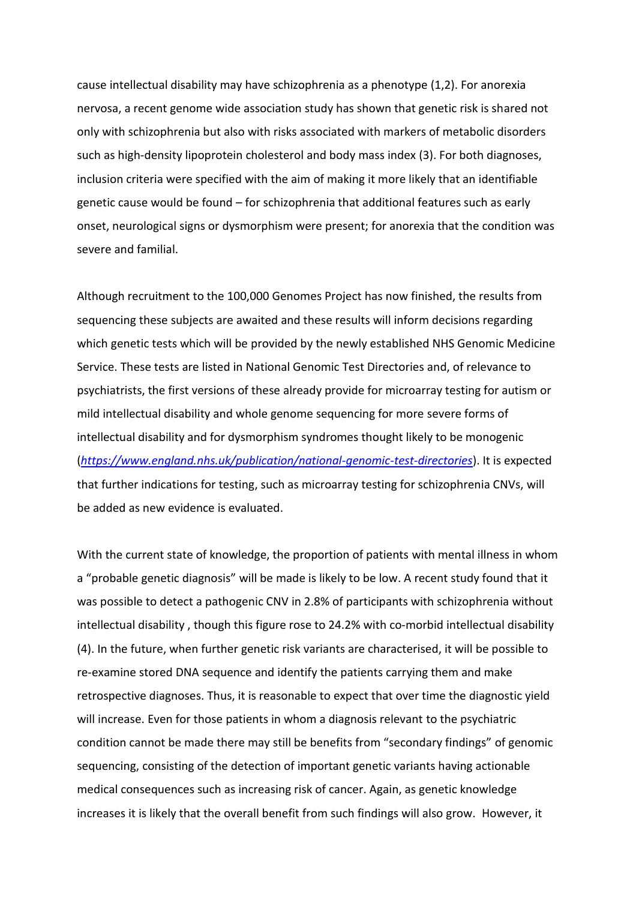cause intellectual disability may have schizophrenia as a phenotype (1,2). For anorexia nervosa, a recent genome wide association study has shown that genetic risk is shared not only with schizophrenia but also with risks associated with markers of metabolic disorders such as high-density lipoprotein cholesterol and body mass index (3). For both diagnoses, inclusion criteria were specified with the aim of making it more likely that an identifiable genetic cause would be found – for schizophrenia that additional features such as early onset, neurological signs or dysmorphism were present; for anorexia that the condition was severe and familial.

Although recruitment to the 100,000 Genomes Project has now finished, the results from sequencing these subjects are awaited and these results will inform decisions regarding which genetic tests which will be provided by the newly established NHS Genomic Medicine Service. These tests are listed in National Genomic Test Directories and, of relevance to psychiatrists, the first versions of these already provide for microarray testing for autism or mild intellectual disability and whole genome sequencing for more severe forms of intellectual disability and for dysmorphism syndromes thought likely to be monogenic (*<https://www.england.nhs.uk/publication/national-genomic-test-directories>*). It is expected that further indications for testing, such as microarray testing for schizophrenia CNVs, will be added as new evidence is evaluated.

With the current state of knowledge, the proportion of patients with mental illness in whom a "probable genetic diagnosis" will be made is likely to be low. A recent study found that it was possible to detect a pathogenic CNV in 2.8% of participants with schizophrenia without intellectual disability , though this figure rose to 24.2% with co-morbid intellectual disability (4). In the future, when further genetic risk variants are characterised, it will be possible to re-examine stored DNA sequence and identify the patients carrying them and make retrospective diagnoses. Thus, it is reasonable to expect that over time the diagnostic yield will increase. Even for those patients in whom a diagnosis relevant to the psychiatric condition cannot be made there may still be benefits from "secondary findings" of genomic sequencing, consisting of the detection of important genetic variants having actionable medical consequences such as increasing risk of cancer. Again, as genetic knowledge increases it is likely that the overall benefit from such findings will also grow. However, it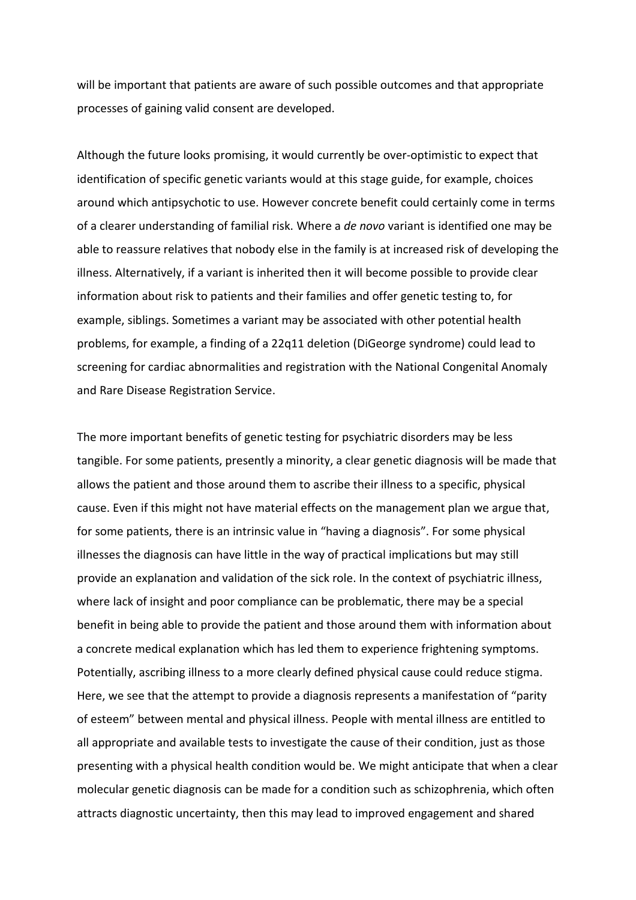will be important that patients are aware of such possible outcomes and that appropriate processes of gaining valid consent are developed.

Although the future looks promising, it would currently be over-optimistic to expect that identification of specific genetic variants would at this stage guide, for example, choices around which antipsychotic to use. However concrete benefit could certainly come in terms of a clearer understanding of familial risk. Where a *de novo* variant is identified one may be able to reassure relatives that nobody else in the family is at increased risk of developing the illness. Alternatively, if a variant is inherited then it will become possible to provide clear information about risk to patients and their families and offer genetic testing to, for example, siblings. Sometimes a variant may be associated with other potential health problems, for example, a finding of a 22q11 deletion (DiGeorge syndrome) could lead to screening for cardiac abnormalities and registration with the National Congenital Anomaly and Rare Disease Registration Service.

The more important benefits of genetic testing for psychiatric disorders may be less tangible. For some patients, presently a minority, a clear genetic diagnosis will be made that allows the patient and those around them to ascribe their illness to a specific, physical cause. Even if this might not have material effects on the management plan we argue that, for some patients, there is an intrinsic value in "having a diagnosis". For some physical illnesses the diagnosis can have little in the way of practical implications but may still provide an explanation and validation of the sick role. In the context of psychiatric illness, where lack of insight and poor compliance can be problematic, there may be a special benefit in being able to provide the patient and those around them with information about a concrete medical explanation which has led them to experience frightening symptoms. Potentially, ascribing illness to a more clearly defined physical cause could reduce stigma. Here, we see that the attempt to provide a diagnosis represents a manifestation of "parity of esteem" between mental and physical illness. People with mental illness are entitled to all appropriate and available tests to investigate the cause of their condition, just as those presenting with a physical health condition would be. We might anticipate that when a clear molecular genetic diagnosis can be made for a condition such as schizophrenia, which often attracts diagnostic uncertainty, then this may lead to improved engagement and shared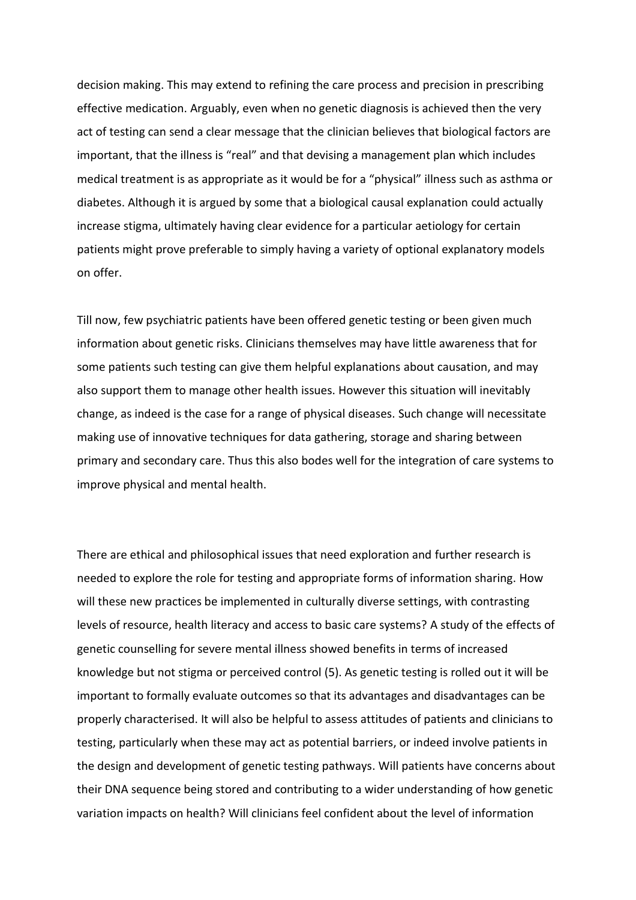decision making. This may extend to refining the care process and precision in prescribing effective medication. Arguably, even when no genetic diagnosis is achieved then the very act of testing can send a clear message that the clinician believes that biological factors are important, that the illness is "real" and that devising a management plan which includes medical treatment is as appropriate as it would be for a "physical" illness such as asthma or diabetes. Although it is argued by some that a biological causal explanation could actually increase stigma, ultimately having clear evidence for a particular aetiology for certain patients might prove preferable to simply having a variety of optional explanatory models on offer.

Till now, few psychiatric patients have been offered genetic testing or been given much information about genetic risks. Clinicians themselves may have little awareness that for some patients such testing can give them helpful explanations about causation, and may also support them to manage other health issues. However this situation will inevitably change, as indeed is the case for a range of physical diseases. Such change will necessitate making use of innovative techniques for data gathering, storage and sharing between primary and secondary care. Thus this also bodes well for the integration of care systems to improve physical and mental health.

There are ethical and philosophical issues that need exploration and further research is needed to explore the role for testing and appropriate forms of information sharing. How will these new practices be implemented in culturally diverse settings, with contrasting levels of resource, health literacy and access to basic care systems? A study of the effects of genetic counselling for severe mental illness showed benefits in terms of increased knowledge but not stigma or perceived control (5). As genetic testing is rolled out it will be important to formally evaluate outcomes so that its advantages and disadvantages can be properly characterised. It will also be helpful to assess attitudes of patients and clinicians to testing, particularly when these may act as potential barriers, or indeed involve patients in the design and development of genetic testing pathways. Will patients have concerns about their DNA sequence being stored and contributing to a wider understanding of how genetic variation impacts on health? Will clinicians feel confident about the level of information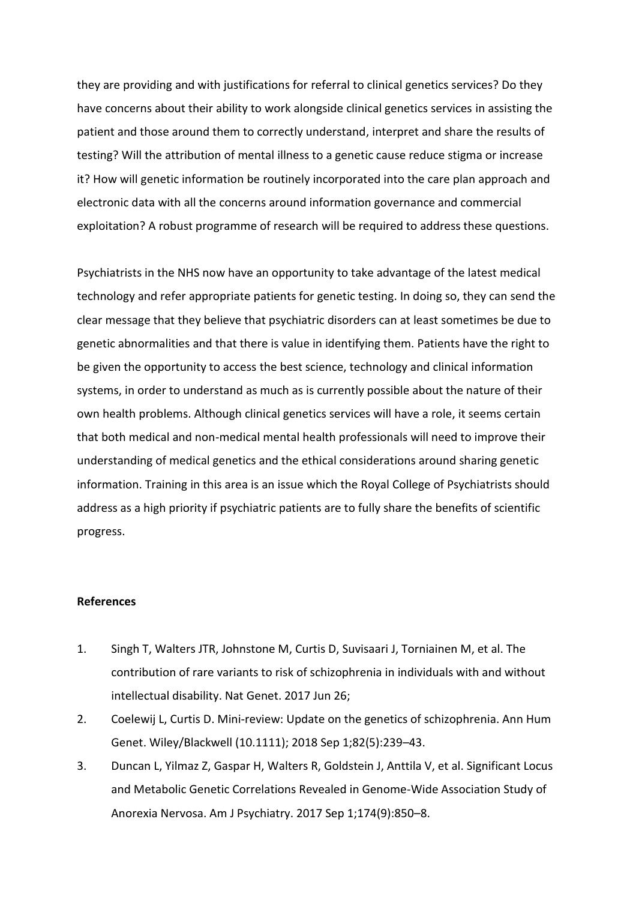they are providing and with justifications for referral to clinical genetics services? Do they have concerns about their ability to work alongside clinical genetics services in assisting the patient and those around them to correctly understand, interpret and share the results of testing? Will the attribution of mental illness to a genetic cause reduce stigma or increase it? How will genetic information be routinely incorporated into the care plan approach and electronic data with all the concerns around information governance and commercial exploitation? A robust programme of research will be required to address these questions.

Psychiatrists in the NHS now have an opportunity to take advantage of the latest medical technology and refer appropriate patients for genetic testing. In doing so, they can send the clear message that they believe that psychiatric disorders can at least sometimes be due to genetic abnormalities and that there is value in identifying them. Patients have the right to be given the opportunity to access the best science, technology and clinical information systems, in order to understand as much as is currently possible about the nature of their own health problems. Although clinical genetics services will have a role, it seems certain that both medical and non-medical mental health professionals will need to improve their understanding of medical genetics and the ethical considerations around sharing genetic information. Training in this area is an issue which the Royal College of Psychiatrists should address as a high priority if psychiatric patients are to fully share the benefits of scientific progress.

## **References**

- 1. Singh T, Walters JTR, Johnstone M, Curtis D, Suvisaari J, Torniainen M, et al. The contribution of rare variants to risk of schizophrenia in individuals with and without intellectual disability. Nat Genet. 2017 Jun 26;
- 2. Coelewij L, Curtis D. Mini-review: Update on the genetics of schizophrenia. Ann Hum Genet. Wiley/Blackwell (10.1111); 2018 Sep 1;82(5):239–43.
- 3. Duncan L, Yilmaz Z, Gaspar H, Walters R, Goldstein J, Anttila V, et al. Significant Locus and Metabolic Genetic Correlations Revealed in Genome-Wide Association Study of Anorexia Nervosa. Am J Psychiatry. 2017 Sep 1;174(9):850–8.